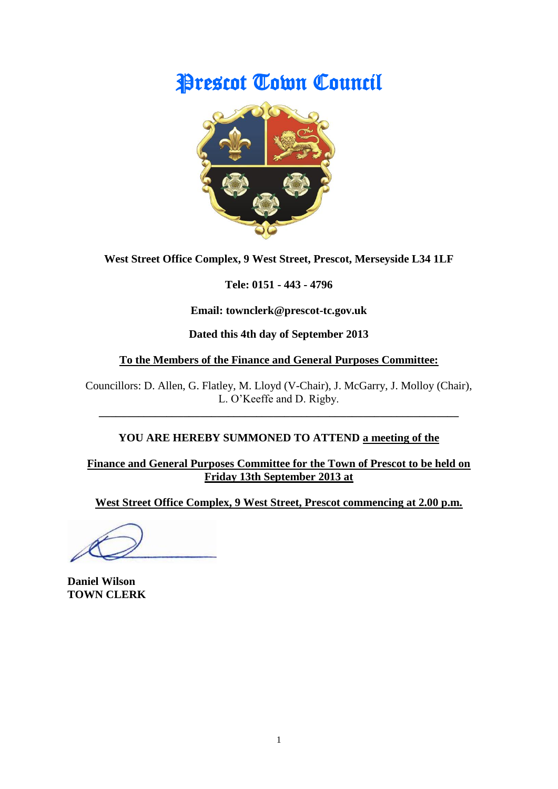# Prescot Town Council



**West Street Office Complex, 9 West Street, Prescot, Merseyside L34 1LF**

**Tele: 0151 - 443 - 4796**

**Email: townclerk@prescot-tc.gov.uk**

**Dated this 4th day of September 2013**

#### **To the Members of the Finance and General Purposes Committee:**

Councillors: D. Allen, G. Flatley, M. Lloyd (V-Chair), J. McGarry, J. Molloy (Chair), L. O'Keeffe and D. Rigby.

**\_\_\_\_\_\_\_\_\_\_\_\_\_\_\_\_\_\_\_\_\_\_\_\_\_\_\_\_\_\_\_\_\_\_\_\_\_\_\_\_\_\_\_\_\_\_\_\_\_\_\_\_\_\_\_\_\_\_\_\_\_\_\_\_**

# **YOU ARE HEREBY SUMMONED TO ATTEND a meeting of the**

**Finance and General Purposes Committee for the Town of Prescot to be held on Friday 13th September 2013 at**

**West Street Office Complex, 9 West Street, Prescot commencing at 2.00 p.m.**

**Daniel Wilson TOWN CLERK**